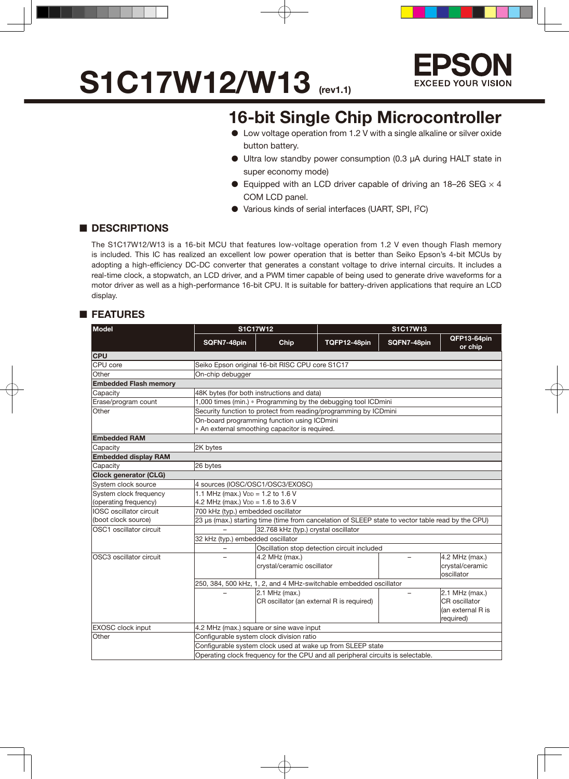# **S1C17W12/W13** (rev1.1)



### **16-bit Single Chip Microcontroller**

- Low voltage operation from 1.2 V with a single alkaline or silver oxide button battery.
- Ultra low standby power consumption (0.3 µA during HALT state in super economy mode)
- Equipped with an LCD driver capable of driving an 18-26 SEG  $\times$  4 COM LCD panel.
- Various kinds of serial interfaces (UART, SPI, I2C)

#### ■ **DESCRIPTIONS**

The S1C17W12/W13 is a 16-bit MCU that features low-voltage operation from 1.2 V even though Flash memory is included. This IC has realized an excellent low power operation that is better than Seiko Epson's 4-bit MCUs by adopting a high-efficiency DC-DC converter that generates a constant voltage to drive internal circuits. It includes a real-time clock, a stopwatch, an LCD driver, and a PWM timer capable of being used to generate drive waveforms for a motor driver as well as a high-performance 16-bit CPU. It is suitable for battery-driven applications that require an LCD display.

#### ■ **FEATURES**

| <b>Model</b>                 |                                                                | <b>S1C17W12</b>                                                                  |                                                                                                   | S1C17W13    |                        |  |  |  |  |  |  |
|------------------------------|----------------------------------------------------------------|----------------------------------------------------------------------------------|---------------------------------------------------------------------------------------------------|-------------|------------------------|--|--|--|--|--|--|
|                              | SQFN7-48pin                                                    | <b>Chip</b>                                                                      | TQFP12-48pin                                                                                      | SQFN7-48pin | QFP13-64pin<br>or chip |  |  |  |  |  |  |
| <b>CPU</b>                   |                                                                |                                                                                  |                                                                                                   |             |                        |  |  |  |  |  |  |
| CPU core                     | Seiko Epson original 16-bit RISC CPU core S1C17                |                                                                                  |                                                                                                   |             |                        |  |  |  |  |  |  |
| Other                        | On-chip debugger                                               |                                                                                  |                                                                                                   |             |                        |  |  |  |  |  |  |
| <b>Embedded Flash memory</b> |                                                                |                                                                                  |                                                                                                   |             |                        |  |  |  |  |  |  |
| Capacity                     | 48K bytes (for both instructions and data)                     |                                                                                  |                                                                                                   |             |                        |  |  |  |  |  |  |
| Erase/program count          | 1,000 times (min.) * Programming by the debugging tool ICDmini |                                                                                  |                                                                                                   |             |                        |  |  |  |  |  |  |
| Other                        |                                                                |                                                                                  | Security function to protect from reading/programming by ICDmini                                  |             |                        |  |  |  |  |  |  |
|                              | On-board programming function using ICDmini                    |                                                                                  |                                                                                                   |             |                        |  |  |  |  |  |  |
|                              | * An external smoothing capacitor is required.                 |                                                                                  |                                                                                                   |             |                        |  |  |  |  |  |  |
| <b>Embedded RAM</b>          |                                                                |                                                                                  |                                                                                                   |             |                        |  |  |  |  |  |  |
| Capacity                     | 2K bytes                                                       |                                                                                  |                                                                                                   |             |                        |  |  |  |  |  |  |
| <b>Embedded display RAM</b>  |                                                                |                                                                                  |                                                                                                   |             |                        |  |  |  |  |  |  |
| Capacity                     | 26 bytes                                                       |                                                                                  |                                                                                                   |             |                        |  |  |  |  |  |  |
| <b>Clock generator (CLG)</b> |                                                                |                                                                                  |                                                                                                   |             |                        |  |  |  |  |  |  |
| System clock source          | 4 sources (IOSC/OSC1/OSC3/EXOSC)                               |                                                                                  |                                                                                                   |             |                        |  |  |  |  |  |  |
| System clock frequency       | 1.1 MHz (max.) $V_{DD} = 1.2$ to 1.6 V                         |                                                                                  |                                                                                                   |             |                        |  |  |  |  |  |  |
| (operating frequency)        | 4.2 MHz (max.) $V_{DD} = 1.6$ to 3.6 V                         |                                                                                  |                                                                                                   |             |                        |  |  |  |  |  |  |
| IOSC oscillator circuit      | 700 kHz (typ.) embedded oscillator                             |                                                                                  |                                                                                                   |             |                        |  |  |  |  |  |  |
| (boot clock source)          |                                                                |                                                                                  | 23 µs (max.) starting time (time from cancelation of SLEEP state to vector table read by the CPU) |             |                        |  |  |  |  |  |  |
| OSC1 oscillator circuit      |                                                                | 32.768 kHz (typ.) crystal oscillator                                             |                                                                                                   |             |                        |  |  |  |  |  |  |
|                              |                                                                | 32 kHz (typ.) embedded oscillator                                                |                                                                                                   |             |                        |  |  |  |  |  |  |
|                              |                                                                |                                                                                  | Oscillation stop detection circuit included                                                       |             |                        |  |  |  |  |  |  |
| OSC3 oscillator circuit      |                                                                | 4.2 MHz (max.)                                                                   |                                                                                                   |             | 4.2 MHz (max.)         |  |  |  |  |  |  |
|                              |                                                                | crystal/ceramic oscillator                                                       |                                                                                                   |             | crystal/ceramic        |  |  |  |  |  |  |
|                              |                                                                |                                                                                  |                                                                                                   |             | oscillator             |  |  |  |  |  |  |
|                              |                                                                |                                                                                  | 250, 384, 500 kHz, 1, 2, and 4 MHz-switchable embedded oscillator                                 |             |                        |  |  |  |  |  |  |
|                              |                                                                | 2.1 MHz (max.)                                                                   |                                                                                                   |             | 2.1 MHz (max.)         |  |  |  |  |  |  |
|                              |                                                                |                                                                                  | CR oscillator (an external R is required)                                                         |             | CR oscillator          |  |  |  |  |  |  |
|                              |                                                                |                                                                                  |                                                                                                   |             | (an external R is      |  |  |  |  |  |  |
|                              |                                                                |                                                                                  |                                                                                                   |             | required)              |  |  |  |  |  |  |
| <b>EXOSC</b> clock input     | 4.2 MHz (max.) square or sine wave input                       |                                                                                  |                                                                                                   |             |                        |  |  |  |  |  |  |
| Other                        | Configurable system clock division ratio                       |                                                                                  |                                                                                                   |             |                        |  |  |  |  |  |  |
|                              |                                                                |                                                                                  | Configurable system clock used at wake up from SLEEP state                                        |             |                        |  |  |  |  |  |  |
|                              |                                                                | Operating clock frequency for the CPU and all peripheral circuits is selectable. |                                                                                                   |             |                        |  |  |  |  |  |  |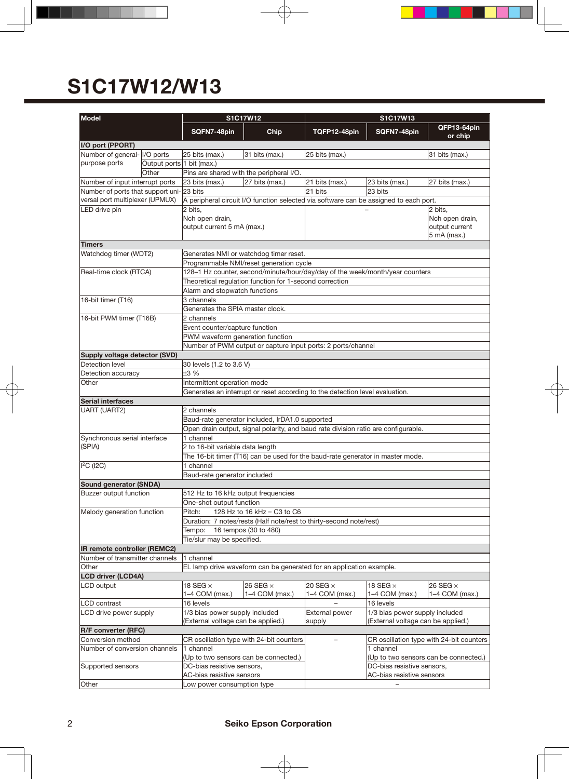| Model                                            |                           |                                                                                                                    | S1C17W12                                                                     | S1C17W13                      |                                                                                                                     |                                          |  |  |  |  |  |  |
|--------------------------------------------------|---------------------------|--------------------------------------------------------------------------------------------------------------------|------------------------------------------------------------------------------|-------------------------------|---------------------------------------------------------------------------------------------------------------------|------------------------------------------|--|--|--|--|--|--|
|                                                  |                           | SQFN7-48pin                                                                                                        | Chip                                                                         | TQFP12-48pin                  | SQFN7-48pin                                                                                                         | QFP13-64pin<br>or chip                   |  |  |  |  |  |  |
| I/O port (PPORT)                                 |                           |                                                                                                                    |                                                                              |                               |                                                                                                                     |                                          |  |  |  |  |  |  |
| Number of general- I/O ports                     |                           | 25 bits (max.)<br>31 bits (max.)<br>31 bits (max.)<br>25 bits (max.)                                               |                                                                              |                               |                                                                                                                     |                                          |  |  |  |  |  |  |
| purpose ports                                    | Output ports 1 bit (max.) |                                                                                                                    |                                                                              |                               |                                                                                                                     |                                          |  |  |  |  |  |  |
|                                                  | Other                     |                                                                                                                    | Pins are shared with the peripheral I/O.                                     |                               |                                                                                                                     |                                          |  |  |  |  |  |  |
| Number of input interrupt ports                  |                           | 23 bits (max.)                                                                                                     | 27 bits (max.)                                                               | 21 bits (max.)                | 23 bits (max.)                                                                                                      | 27 bits (max.)                           |  |  |  |  |  |  |
| Number of ports that support uni-23 bits         |                           |                                                                                                                    | 21 bits<br>23 bits                                                           |                               |                                                                                                                     |                                          |  |  |  |  |  |  |
| versal port multiplexer (UPMUX)<br>LED drive pin |                           | 2 bits.<br>Nch open drain,                                                                                         |                                                                              |                               | A peripheral circuit I/O function selected via software can be assigned to each port.<br>2 bits.<br>Nch open drain, |                                          |  |  |  |  |  |  |
|                                                  |                           | output current 5 mA (max.)                                                                                         |                                                                              | output current<br>5 mA (max.) |                                                                                                                     |                                          |  |  |  |  |  |  |
| <b>Timers</b>                                    |                           |                                                                                                                    |                                                                              |                               |                                                                                                                     |                                          |  |  |  |  |  |  |
| Watchdog timer (WDT2)                            |                           | Generates NMI or watchdog timer reset.                                                                             |                                                                              |                               |                                                                                                                     |                                          |  |  |  |  |  |  |
|                                                  |                           | Programmable NMI/reset generation cycle                                                                            |                                                                              |                               |                                                                                                                     |                                          |  |  |  |  |  |  |
| Real-time clock (RTCA)                           |                           |                                                                                                                    | 128-1 Hz counter, second/minute/hour/day/day of the week/month/year counters |                               |                                                                                                                     |                                          |  |  |  |  |  |  |
|                                                  |                           |                                                                                                                    | Theoretical regulation function for 1-second correction                      |                               |                                                                                                                     |                                          |  |  |  |  |  |  |
|                                                  |                           | Alarm and stopwatch functions                                                                                      |                                                                              |                               |                                                                                                                     |                                          |  |  |  |  |  |  |
| 16-bit timer (T16)                               |                           | 3 channels                                                                                                         |                                                                              |                               |                                                                                                                     |                                          |  |  |  |  |  |  |
|                                                  |                           | Generates the SPIA master clock.                                                                                   |                                                                              |                               |                                                                                                                     |                                          |  |  |  |  |  |  |
| 16-bit PWM timer (T16B)                          |                           | 2 channels                                                                                                         |                                                                              |                               |                                                                                                                     |                                          |  |  |  |  |  |  |
|                                                  |                           | Event counter/capture function                                                                                     |                                                                              |                               |                                                                                                                     |                                          |  |  |  |  |  |  |
|                                                  |                           | PWM waveform generation function<br>Number of PWM output or capture input ports: 2 ports/channel                   |                                                                              |                               |                                                                                                                     |                                          |  |  |  |  |  |  |
| Supply voltage detector (SVD)                    |                           |                                                                                                                    |                                                                              |                               |                                                                                                                     |                                          |  |  |  |  |  |  |
| Detection level                                  |                           | 30 levels (1.2 to 3.6 V)                                                                                           |                                                                              |                               |                                                                                                                     |                                          |  |  |  |  |  |  |
| Detection accuracy                               |                           | ±3%                                                                                                                |                                                                              |                               |                                                                                                                     |                                          |  |  |  |  |  |  |
| Other                                            |                           | Intermittent operation mode                                                                                        |                                                                              |                               |                                                                                                                     |                                          |  |  |  |  |  |  |
|                                                  |                           | Generates an interrupt or reset according to the detection level evaluation.                                       |                                                                              |                               |                                                                                                                     |                                          |  |  |  |  |  |  |
| <b>Serial interfaces</b>                         |                           |                                                                                                                    |                                                                              |                               |                                                                                                                     |                                          |  |  |  |  |  |  |
| <b>UART (UART2)</b>                              |                           | 2 channels                                                                                                         |                                                                              |                               |                                                                                                                     |                                          |  |  |  |  |  |  |
|                                                  |                           | Baud-rate generator included, IrDA1.0 supported                                                                    |                                                                              |                               |                                                                                                                     |                                          |  |  |  |  |  |  |
|                                                  |                           | Open drain output, signal polarity, and baud rate division ratio are configurable.                                 |                                                                              |                               |                                                                                                                     |                                          |  |  |  |  |  |  |
| Synchronous serial interface<br>(SPIA)           |                           | 1 channel                                                                                                          |                                                                              |                               |                                                                                                                     |                                          |  |  |  |  |  |  |
|                                                  |                           | 2 to 16-bit variable data length<br>The 16-bit timer (T16) can be used for the baud-rate generator in master mode. |                                                                              |                               |                                                                                                                     |                                          |  |  |  |  |  |  |
| <sup>2</sup> C (12C)                             |                           | 1 channel                                                                                                          |                                                                              |                               |                                                                                                                     |                                          |  |  |  |  |  |  |
|                                                  |                           | Baud-rate generator included                                                                                       |                                                                              |                               |                                                                                                                     |                                          |  |  |  |  |  |  |
| <b>Sound generator (SNDA)</b>                    |                           |                                                                                                                    |                                                                              |                               |                                                                                                                     |                                          |  |  |  |  |  |  |
| Buzzer output function                           |                           | 512 Hz to 16 kHz output frequencies                                                                                |                                                                              |                               |                                                                                                                     |                                          |  |  |  |  |  |  |
|                                                  |                           | One-shot output function                                                                                           |                                                                              |                               |                                                                                                                     |                                          |  |  |  |  |  |  |
| Melody generation function                       |                           | Pitch:<br>128 Hz to 16 kHz ≈ C3 to C6                                                                              |                                                                              |                               |                                                                                                                     |                                          |  |  |  |  |  |  |
|                                                  |                           | Duration: 7 notes/rests (Half note/rest to thirty-second note/rest)                                                |                                                                              |                               |                                                                                                                     |                                          |  |  |  |  |  |  |
|                                                  |                           | Tempo: 16 tempos (30 to 480)                                                                                       |                                                                              |                               |                                                                                                                     |                                          |  |  |  |  |  |  |
|                                                  |                           | Tie/slur may be specified.                                                                                         |                                                                              |                               |                                                                                                                     |                                          |  |  |  |  |  |  |
| IR remote controller (REMC2)                     |                           |                                                                                                                    |                                                                              |                               |                                                                                                                     |                                          |  |  |  |  |  |  |
| Number of transmitter channels<br>Other          |                           | $\overline{1}$ channel                                                                                             | EL lamp drive waveform can be generated for an application example.          |                               |                                                                                                                     |                                          |  |  |  |  |  |  |
| <b>LCD driver (LCD4A)</b>                        |                           |                                                                                                                    |                                                                              |                               |                                                                                                                     |                                          |  |  |  |  |  |  |
| LCD output                                       |                           | 18 SEG $\times$                                                                                                    | 26 SEG $\times$                                                              | 20 SEG $\times$               | 18 SEG $\times$                                                                                                     | 26 SEG $\times$                          |  |  |  |  |  |  |
|                                                  |                           | 1-4 COM (max.)                                                                                                     | 1-4 COM (max.)                                                               | 1-4 COM (max.)                | 1-4 COM (max.)                                                                                                      | 1-4 COM (max.)                           |  |  |  |  |  |  |
| LCD contrast                                     |                           | 16 levels                                                                                                          |                                                                              |                               | 16 levels                                                                                                           |                                          |  |  |  |  |  |  |
| LCD drive power supply                           |                           | 1/3 bias power supply included<br>(External voltage can be applied.)                                               |                                                                              | External power<br>supply      | 1/3 bias power supply included<br>(External voltage can be applied.)                                                |                                          |  |  |  |  |  |  |
| <b>R/F converter (RFC)</b>                       |                           |                                                                                                                    |                                                                              |                               |                                                                                                                     |                                          |  |  |  |  |  |  |
| Conversion method                                |                           |                                                                                                                    | CR oscillation type with 24-bit counters                                     |                               |                                                                                                                     | CR oscillation type with 24-bit counters |  |  |  |  |  |  |
| Number of conversion channels                    |                           | 1 channel                                                                                                          |                                                                              |                               | 1 channel                                                                                                           |                                          |  |  |  |  |  |  |
|                                                  |                           |                                                                                                                    | (Up to two sensors can be connected.)                                        |                               |                                                                                                                     | (Up to two sensors can be connected.)    |  |  |  |  |  |  |
| Supported sensors                                |                           | DC-bias resistive sensors,                                                                                         |                                                                              | DC-bias resistive sensors,    |                                                                                                                     |                                          |  |  |  |  |  |  |
| Other                                            |                           | AC-bias resistive sensors                                                                                          |                                                                              |                               | AC-bias resistive sensors                                                                                           |                                          |  |  |  |  |  |  |
|                                                  |                           | Low power consumption type                                                                                         |                                                                              |                               |                                                                                                                     |                                          |  |  |  |  |  |  |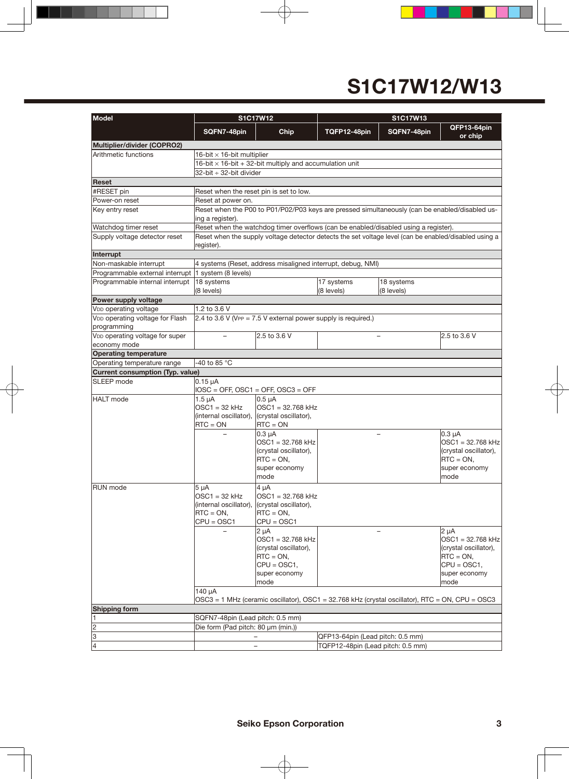| <b>Model</b>                                        |                                              | S1C17W12                                                                                              | S1C17W13                          |                          |                        |  |  |  |  |
|-----------------------------------------------------|----------------------------------------------|-------------------------------------------------------------------------------------------------------|-----------------------------------|--------------------------|------------------------|--|--|--|--|
|                                                     | SQFN7-48pin                                  | Chip                                                                                                  | TQFP12-48pin                      | SQFN7-48pin              | QFP13-64pin<br>or chip |  |  |  |  |
| Multiplier/divider (COPRO2)                         |                                              |                                                                                                       |                                   |                          |                        |  |  |  |  |
| Arithmetic functions                                | 16-bit $\times$ 16-bit multiplier            |                                                                                                       |                                   |                          |                        |  |  |  |  |
|                                                     |                                              | 16-bit $\times$ 16-bit + 32-bit multiply and accumulation unit                                        |                                   |                          |                        |  |  |  |  |
|                                                     | 32-bit ÷ 32-bit divider                      |                                                                                                       |                                   |                          |                        |  |  |  |  |
| Reset                                               |                                              |                                                                                                       |                                   |                          |                        |  |  |  |  |
| #RESET pin                                          | Reset when the reset pin is set to low.      |                                                                                                       |                                   |                          |                        |  |  |  |  |
| Power-on reset                                      | Reset at power on.                           |                                                                                                       |                                   |                          |                        |  |  |  |  |
| Key entry reset                                     |                                              | Reset when the P00 to P01/P02/P03 keys are pressed simultaneously (can be enabled/disabled us-        |                                   |                          |                        |  |  |  |  |
|                                                     | ing a register).                             |                                                                                                       |                                   |                          |                        |  |  |  |  |
| Watchdog timer reset                                |                                              | Reset when the watchdog timer overflows (can be enabled/disabled using a register).                   |                                   |                          |                        |  |  |  |  |
| Supply voltage detector reset                       |                                              | Reset when the supply voltage detector detects the set voltage level (can be enabled/disabled using a |                                   |                          |                        |  |  |  |  |
|                                                     | register).                                   |                                                                                                       |                                   |                          |                        |  |  |  |  |
| Interrupt                                           |                                              |                                                                                                       |                                   |                          |                        |  |  |  |  |
| Non-maskable interrupt                              |                                              | 4 systems (Reset, address misaligned interrupt, debug, NMI)                                           |                                   |                          |                        |  |  |  |  |
| Programmable external interrupt 1 system (8 levels) |                                              |                                                                                                       |                                   |                          |                        |  |  |  |  |
| Programmable internal interrupt                     | 18 systems                                   |                                                                                                       | 17 systems                        | 18 systems               |                        |  |  |  |  |
|                                                     | (8 levels)                                   |                                                                                                       | (8 levels)                        | (8 levels)               |                        |  |  |  |  |
| Power supply voltage                                |                                              |                                                                                                       |                                   |                          |                        |  |  |  |  |
| V <sub>DD</sub> operating voltage                   | 1.2 to 3.6 V                                 |                                                                                                       |                                   |                          |                        |  |  |  |  |
| V <sub>DD</sub> operating voltage for Flash         |                                              | $2.4$ to 3.6 V (VPP = 7.5 V external power supply is required.)                                       |                                   |                          |                        |  |  |  |  |
| programming                                         |                                              |                                                                                                       |                                   |                          |                        |  |  |  |  |
| V <sub>DD</sub> operating voltage for super         | $\equiv$                                     | 2.5 to 3.6 V                                                                                          |                                   | $\overline{\phantom{0}}$ | 2.5 to 3.6 V           |  |  |  |  |
| economy mode                                        |                                              |                                                                                                       |                                   |                          |                        |  |  |  |  |
| <b>Operating temperature</b>                        |                                              |                                                                                                       |                                   |                          |                        |  |  |  |  |
| Operating temperature range                         | -40 to 85 °C                                 |                                                                                                       |                                   |                          |                        |  |  |  |  |
| <b>Current consumption (Typ. value)</b>             |                                              |                                                                                                       |                                   |                          |                        |  |  |  |  |
| SLEEP mode                                          | $0.15 \mu A$                                 |                                                                                                       |                                   |                          |                        |  |  |  |  |
|                                                     |                                              | $IOSC = OFF$ , $OSC1 = OFF$ , $OSC3 = OFF$                                                            |                                   |                          |                        |  |  |  |  |
| <b>HALT</b> mode                                    | $1.5 \mu A$                                  | 0.5 <sub>uA</sub>                                                                                     |                                   |                          |                        |  |  |  |  |
|                                                     | $OSC1 = 32$ kHz                              | $OSC1 = 32.768$ kHz                                                                                   |                                   |                          |                        |  |  |  |  |
|                                                     | (internal oscillator), (crystal oscillator), |                                                                                                       |                                   |                          |                        |  |  |  |  |
|                                                     | $RTC = ON$                                   | $RTC = ON$                                                                                            |                                   |                          |                        |  |  |  |  |
|                                                     |                                              | $0.3 \mu A$                                                                                           |                                   |                          | $0.3 \mu A$            |  |  |  |  |
|                                                     |                                              | $OSC1 = 32.768$ kHz                                                                                   |                                   |                          | OSC1 = 32.768 kHz      |  |  |  |  |
|                                                     |                                              | (crystal oscillator),                                                                                 |                                   |                          | (crystal oscillator),  |  |  |  |  |
|                                                     |                                              | $RTC = ON,$                                                                                           |                                   |                          | $RTC = ON$ ,           |  |  |  |  |
|                                                     |                                              | super economy                                                                                         |                                   |                          | super economy          |  |  |  |  |
|                                                     |                                              | mode                                                                                                  |                                   |                          | mode                   |  |  |  |  |
| <b>RUN</b> mode                                     | 5 µA                                         | 4 µA                                                                                                  |                                   |                          |                        |  |  |  |  |
|                                                     | $OSC1 = 32$ kHz                              | $OSC1 = 32.768$ kHz                                                                                   |                                   |                          |                        |  |  |  |  |
|                                                     | (internal oscillator),                       | (crystal oscillator),                                                                                 |                                   |                          |                        |  |  |  |  |
|                                                     | $RTC = ON,$                                  | $RTC = ON$                                                                                            |                                   |                          |                        |  |  |  |  |
|                                                     | $CPU = OSC1$                                 | $CPU = OSC1$                                                                                          |                                   |                          |                        |  |  |  |  |
|                                                     |                                              | $2 \mu A$                                                                                             |                                   |                          | $2 \mu A$              |  |  |  |  |
|                                                     |                                              | OSC1 = 32.768 kHz                                                                                     |                                   |                          | OSC1 = 32.768 kHz      |  |  |  |  |
|                                                     |                                              | (crystal oscillator),                                                                                 |                                   |                          | (crystal oscillator),  |  |  |  |  |
|                                                     |                                              | $RTC = ON,$                                                                                           |                                   |                          | $RTC = ON,$            |  |  |  |  |
|                                                     |                                              | $CPU = OSC1,$                                                                                         |                                   |                          | $CPU = OSC1,$          |  |  |  |  |
|                                                     |                                              | super economy                                                                                         |                                   |                          | super economy          |  |  |  |  |
|                                                     |                                              | mode                                                                                                  |                                   |                          | mode                   |  |  |  |  |
|                                                     | 140 µA                                       |                                                                                                       |                                   |                          |                        |  |  |  |  |
|                                                     |                                              | OSC3 = 1 MHz (ceramic oscillator), OSC1 = 32.768 kHz (crystal oscillator), RTC = ON, CPU = OSC3       |                                   |                          |                        |  |  |  |  |
| <b>Shipping form</b>                                |                                              |                                                                                                       |                                   |                          |                        |  |  |  |  |
| 1                                                   | SQFN7-48pin (Lead pitch: 0.5 mm)             |                                                                                                       |                                   |                          |                        |  |  |  |  |
| $\overline{2}$                                      | Die form (Pad pitch: 80 µm (min.))           |                                                                                                       |                                   |                          |                        |  |  |  |  |
| $\overline{3}$                                      |                                              |                                                                                                       | QFP13-64pin (Lead pitch: 0.5 mm)  |                          |                        |  |  |  |  |
| $\overline{\vert 4}$                                |                                              |                                                                                                       | TQFP12-48pin (Lead pitch: 0.5 mm) |                          |                        |  |  |  |  |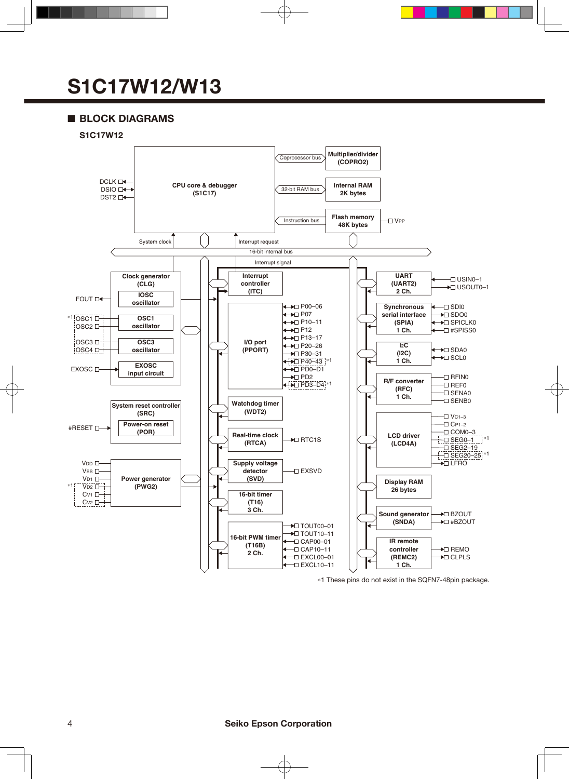### ■ **BLOCK DIAGRAMS**



 \*1 These pins do not exist in the SQFN7-48pin package.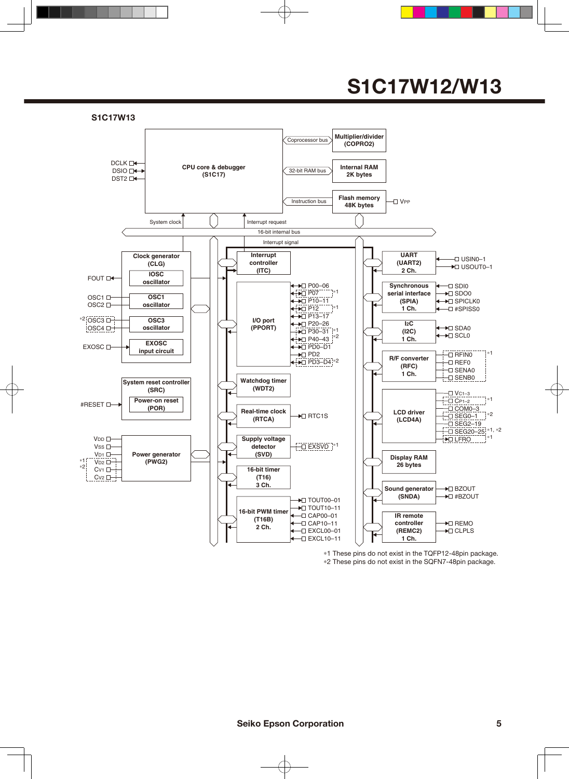

\*1 These pins do not exist in the TQFP12-48pin package. \*2 These pins do not exist in the SQFN7-48pin package.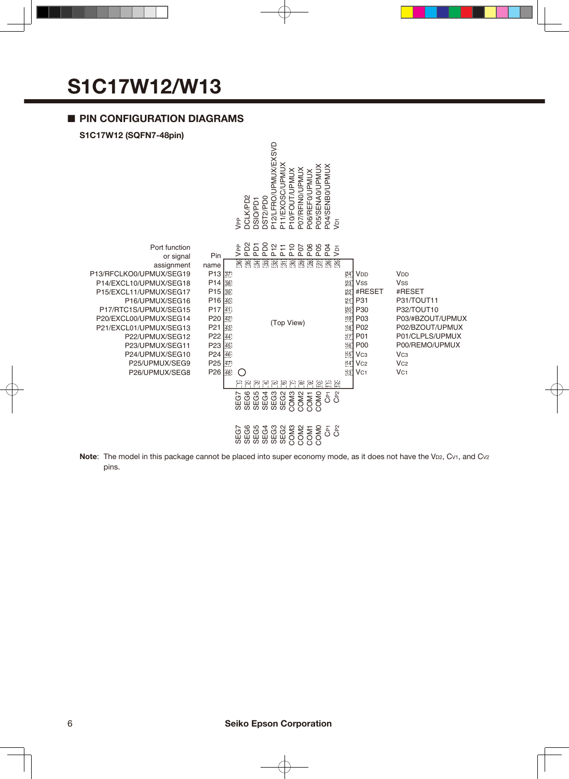#### ■ **PIN CONFIGURATION DIAGRAMS**

#### **S1C17W12 (SQFN7-48pin)**



**Note**: The model in this package cannot be placed into super economy mode, as it does not have the V<sub>D2</sub>, C<sub>V1</sub>, and C<sub>V2</sub> pins.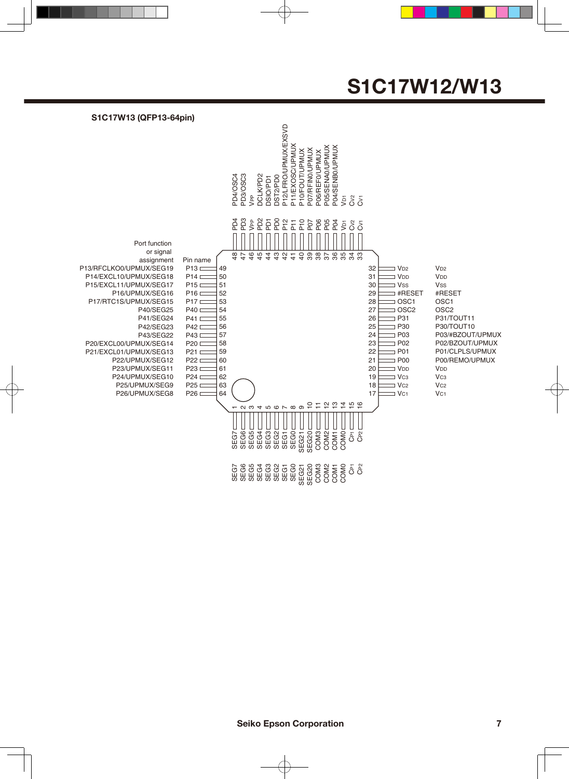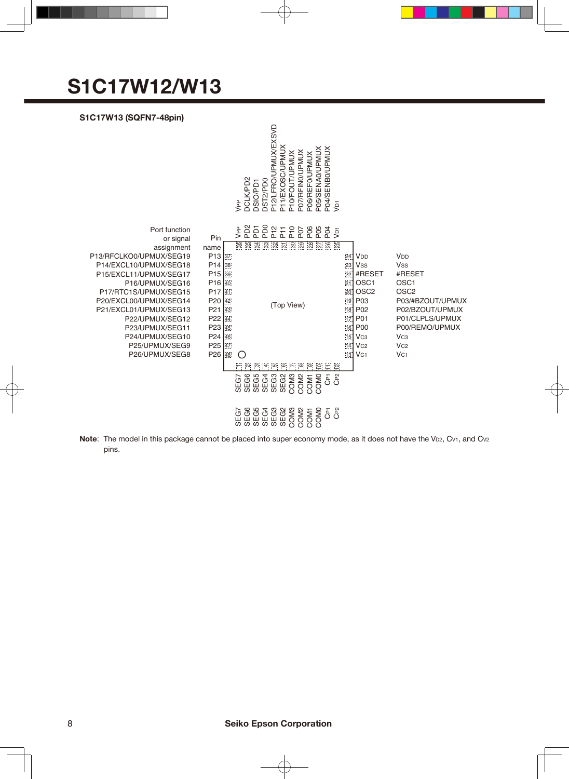#### **S1C17W13 (SQFN7-48pin)**



Note: The model in this package cannot be placed into super economy mode, as it does not have the V<sub>D2</sub>, C<sub>V1</sub>, and C<sub>V2</sub> pins.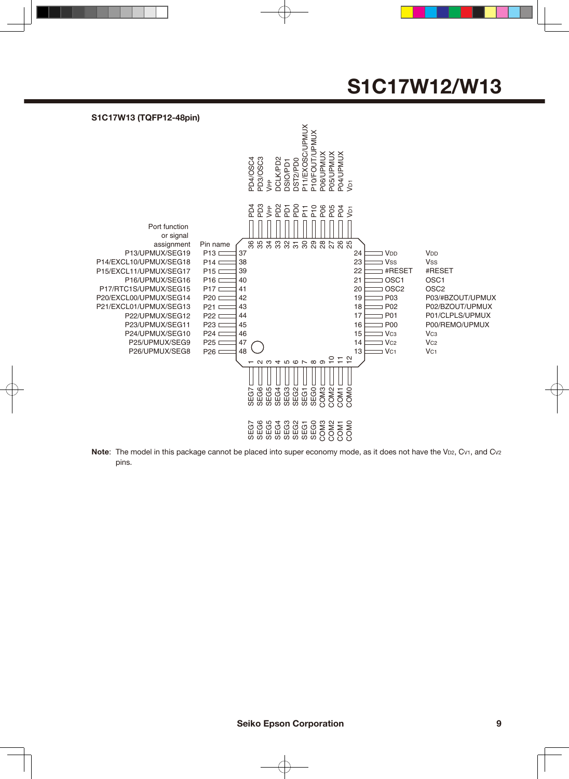

Note: The model in this package cannot be placed into super economy mode, as it does not have the V<sub>D2</sub>, C<sub>V1</sub>, and C<sub>V2</sub> pins.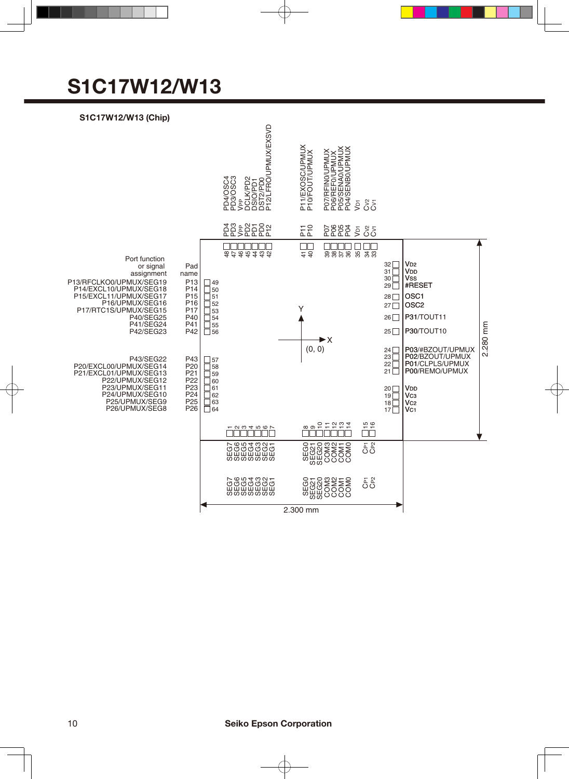#### **S1C17W12/W13 (Chip)**

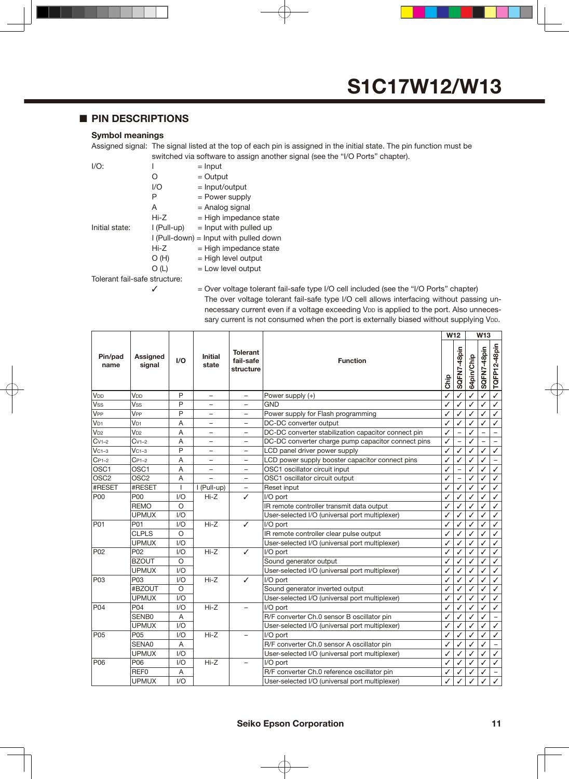#### ■ **PIN DESCRIPTIONS**

#### **Symbol meanings**

Assigned signal: The signal listed at the top of each pin is assigned in the initial state. The pin function must be switched via software to assign another signal (see the "I/O Ports" chapter).

| $I/O$ :                       |               | $=$ Input                                |  |  |  |  |  |  |  |
|-------------------------------|---------------|------------------------------------------|--|--|--|--|--|--|--|
|                               | 0             | $=$ Output                               |  |  |  |  |  |  |  |
|                               | 1/O           | $=$ Input/output                         |  |  |  |  |  |  |  |
|                               | Ρ             | $=$ Power supply                         |  |  |  |  |  |  |  |
|                               | А             | = Analog signal                          |  |  |  |  |  |  |  |
|                               | Hi-Z          | $=$ High impedance state                 |  |  |  |  |  |  |  |
| Initial state:                | $I$ (Pull-up) | $=$ Input with pulled up                 |  |  |  |  |  |  |  |
|                               |               | $I$ (Pull-down) = Input with pulled down |  |  |  |  |  |  |  |
|                               | Hi-Z          | $=$ High impedance state                 |  |  |  |  |  |  |  |
|                               | O(H)          | $=$ High level output                    |  |  |  |  |  |  |  |
|                               | O (L)         | $=$ Low level output                     |  |  |  |  |  |  |  |
| Tolerant fail-safe structure: |               |                                          |  |  |  |  |  |  |  |

 $\checkmark$  = Over voltage tolerant fail-safe type I/O cell included (see the "I/O Ports" chapter) The over voltage tolerant fail-safe type I/O cell allows interfacing without passing unnecessary current even if a voltage exceeding VDD is applied to the port. Also unnecessary current is not consumed when the port is externally biased without supplying VDD.

|                       |                           |              |                          |                                           |                                                     |              |              |            | W <sub>13</sub> |                          |
|-----------------------|---------------------------|--------------|--------------------------|-------------------------------------------|-----------------------------------------------------|--------------|--------------|------------|-----------------|--------------------------|
| Pin/pad<br>name       | <b>Assigned</b><br>signal | I/O          | <b>Initial</b><br>state  | <b>Tolerant</b><br>fail-safe<br>structure | <b>Function</b>                                     | Chip         | SQFN7-48pin  | 64pin/Chip | SQFN7-48pin     | TQFP12-48pin             |
| <b>V<sub>DD</sub></b> | V <sub>DD</sub>           | P            | $\equiv$                 | $\equiv$                                  | Power supply (+)                                    | ✓            |              |            |                 | $\checkmark$             |
| <b>Vss</b>            | Vss                       | P            | -                        | $\overline{\phantom{0}}$                  | <b>GND</b>                                          | ✓            | ✓            | ✓          | ✓               | $\checkmark$             |
| <b>V<sub>PP</sub></b> | V <sub>PP</sub>           | P            | $\overline{\phantom{0}}$ | -                                         | Power supply for Flash programming                  | ✓            | ✓            |            | ✓               | ✓                        |
| V <sub>D1</sub>       | V <sub>D1</sub>           | Α            | -                        | $\overline{\phantom{0}}$                  | DC-DC converter output                              | ✓            | ✓            | ✓          | ✓               | ✓                        |
| $V_{D2}$              | $V_{D2}$                  | A            | $\qquad \qquad -$        | $\overline{\phantom{0}}$                  | DC-DC converter stabilization capacitor connect pin | ✓            |              | ✓          |                 | $\overline{\phantom{a}}$ |
| $Cv1-2$               | $Cv1-2$                   | A            | -                        | -                                         | DC-DC converter charge pump capacitor connect pins  | ✓            |              | ✓          |                 | $\overline{\phantom{0}}$ |
| $VC1-3$               | $VC1-3$                   | P            | -                        | -                                         | LCD panel driver power supply                       | ✓            | ✓            | ✓          | ✓               | $\checkmark$             |
| $C_{P1-2}$            | $C_{P1-2}$                | A            |                          |                                           | LCD power supply booster capacitor connect pins     | ✓            | ✓            | ✓          | ✓               |                          |
| OSC1                  | OSC1                      | A            |                          |                                           | OSC1 oscillator circuit input                       | ✓            |              | ✓          | ✓               | $\checkmark$             |
| OSC <sub>2</sub>      | OSC <sub>2</sub>          | A            |                          |                                           | OSC1 oscillator circuit output                      | ✓            |              | ✓          | ✓               | $\checkmark$             |
| #RESET                | #RESET                    | $\mathbf{I}$ | I (Pull-up)              | $\overline{\phantom{0}}$                  | Reset input                                         | ✓            | ✓            | ✓          | ✓               | $\checkmark$             |
| P <sub>00</sub>       | P00                       | 1/O          | $Hi-Z$                   | ℐ                                         | I/O port                                            |              | ✓            | ✓          | ℐ               | ✓                        |
|                       | <b>REMO</b>               | $\circ$      |                          |                                           | IR remote controller transmit data output           | ✓            | ✓            | ✓          | ✓               | ✓                        |
|                       | <b>UPMUX</b>              | 1/O          |                          |                                           | User-selected I/O (universal port multiplexer)      |              | ✓            | ✓          | ✓               | ✓                        |
| P01                   | P01                       | 1/O          | $Hi-Z$                   | ✓                                         | I/O port                                            |              | ✓            | ✓          | ✓               | ✓                        |
|                       | <b>CLPLS</b>              | $\circ$      |                          |                                           | IR remote controller clear pulse output             |              |              |            |                 | $\checkmark$             |
|                       | <b>UPMUX</b>              | 1/O          |                          |                                           | User-selected I/O (universal port multiplexer)      | ✓            | ✓            |            |                 | $\checkmark$             |
| P02                   | P <sub>02</sub>           | 1/O          | $Hi-Z$                   | ✓                                         | I/O port                                            |              | $\checkmark$ | ✓          |                 | $\checkmark$             |
|                       | <b>BZOUT</b>              | $\circ$      |                          |                                           | Sound generator output                              | ✓            | ✓            | ✓          | ✓               | $\checkmark$             |
|                       | <b>UPMUX</b>              | 1/O          |                          |                                           | User-selected I/O (universal port multiplexer)      | ✓            | ✓            | ✓          | ✓               | $\checkmark$             |
| P <sub>03</sub>       | P <sub>03</sub>           | 1/O          | $Hi-Z$                   | ✓                                         | I/O port                                            | ✓            | ✓            | ℐ          | ✓               | ✓                        |
|                       | #BZOUT                    | $\circ$      |                          |                                           | Sound generator inverted output                     | ✓            | ✓            | ✓          | ✓               | ✓                        |
|                       | <b>UPMUX</b>              | 1/O          |                          |                                           | User-selected I/O (universal port multiplexer)      | ✓            | ✓            | ✓          | ✓               | ✓                        |
| P04                   | P04                       | 1/O          | $Hi-Z$                   | -                                         | I/O port                                            | ✓            | ✓            | ✓          | ✓               | ✓                        |
|                       | SENB <sub>0</sub>         | A            |                          |                                           | R/F converter Ch.0 sensor B oscillator pin          | ✓            | ✓            |            |                 |                          |
|                       | <b>UPMUX</b>              | 1/O          |                          |                                           | User-selected I/O (universal port multiplexer)      | ✓            | ✓            | ✓          | ✓               | $\checkmark$             |
| P05                   | P05                       | 1/O          | $Hi-Z$                   | $\equiv$                                  | I/O port                                            | ✓            | ✓            | ✓          | ✓               | $\checkmark$             |
|                       | SENA0                     | Α            |                          |                                           | R/F converter Ch.0 sensor A oscillator pin          | $\checkmark$ | ✓            | ✓          | ✓               |                          |
|                       | <b>UPMUX</b>              | 1/O          |                          |                                           | User-selected I/O (universal port multiplexer)      | ✓            | ✓            | ✓          | ✓               | $\checkmark$             |
| P06                   | P06                       | 1/O          | $Hi-Z$                   |                                           | I/O port                                            | ✓            | ✓            | ✓          | ✓               | ✓                        |
|                       | REF <sub>0</sub>          | Α            |                          |                                           | R/F converter Ch.0 reference oscillator pin         | ✓            | ✓            |            |                 |                          |
|                       | <b>UPMUX</b>              | 1/O          |                          |                                           | User-selected I/O (universal port multiplexer)      | ✓            |              |            |                 | $\checkmark$             |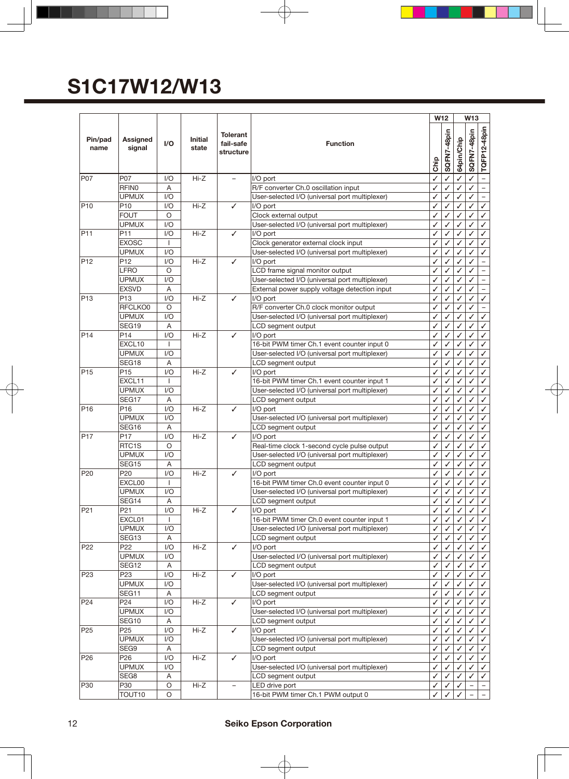|                 |                         |                              |                         |                                           |                                                                                               |              | W12          |            | <b>W13</b>                    |                          |
|-----------------|-------------------------|------------------------------|-------------------------|-------------------------------------------|-----------------------------------------------------------------------------------------------|--------------|--------------|------------|-------------------------------|--------------------------|
| Pin/pad<br>name | Assigned<br>signal      | I/O                          | <b>Initial</b><br>state | <b>Tolerant</b><br>fail-safe<br>structure | <b>Function</b>                                                                               |              |              | 64pin/Chip | SQFN7-48pin                   | TQFP12-48pin             |
| P07             | P07                     | 1/O                          | $Hi-Z$                  | $\overline{\phantom{0}}$                  | I/O port                                                                                      |              | ✓            | ✓          | ✓                             | $\overline{\phantom{0}}$ |
|                 | <b>RFIN0</b>            | A                            |                         |                                           | R/F converter Ch.0 oscillation input                                                          | ✓            |              |            |                               |                          |
|                 | <b>UPMUX</b>            | I/O                          |                         |                                           | User-selected I/O (universal port multiplexer)                                                | ✓            | $\checkmark$ | ✓          | ✓                             | $\overline{\phantom{0}}$ |
| P <sub>10</sub> | P10                     | 1/O                          | $Hi-Z$                  | ✓                                         | I/O port                                                                                      |              | ✓            | ✓          | ✓                             | ✓                        |
|                 | <b>FOUT</b>             | $\circ$                      |                         |                                           | Clock external output                                                                         | ✓            | ✓            | ✓          | ✓                             | ✓                        |
|                 | <b>UPMUX</b>            | 1/O                          |                         |                                           | User-selected I/O (universal port multiplexer)                                                | ✓            | ✓            | ✓          | ✓                             | ✓                        |
| P <sub>11</sub> | P11                     | 1/O                          | $Hi-Z$                  | ✓                                         | I/O port                                                                                      | ✓            | ✓            |            | ✓                             | ✓                        |
|                 | <b>EXOSC</b>            | $\mathbf{I}$                 |                         |                                           | Clock generator external clock input                                                          | ✓            | ✓            |            | ✓                             | ✓                        |
|                 | <b>UPMUX</b>            | I/O                          |                         |                                           | User-selected I/O (universal port multiplexer)                                                | ✓            | ✓            | ✓          | ✓                             | ✓                        |
| P <sub>12</sub> | P <sub>12</sub><br>LFRO | 1/O                          | Hi-Z                    | ✓                                         | I/O port                                                                                      | ✓            | ✓<br>✓       | ✓<br>✓     | ✓                             | $\overline{\phantom{0}}$ |
|                 | <b>UPMUX</b>            | O<br>1/O                     |                         |                                           | LCD frame signal monitor output<br>User-selected I/O (universal port multiplexer)             | ✓            | ✓            |            | ✓<br>✓                        |                          |
|                 | <b>EXSVD</b>            | A                            |                         |                                           | External power supply voltage detection input                                                 | ✓            | ✓            |            | ✓                             |                          |
| P <sub>13</sub> | P <sub>13</sub>         | 1/O                          | $Hi-Z$                  | ✓                                         | I/O port                                                                                      | ✓            | ✓            | ✓          | ✓                             | ✓                        |
|                 | RFCLKO0                 | $\circ$                      |                         |                                           | R/F converter Ch.0 clock monitor output                                                       | ✓            | ✓            | ✓          | ✓                             |                          |
|                 | <b>UPMUX</b>            | I/O                          |                         |                                           | User-selected I/O (universal port multiplexer)                                                | ✓            | ✓            | ✓          | ✓                             | ✓                        |
|                 | SEG19                   | A                            |                         |                                           | LCD segment output                                                                            |              | ✓            |            | ✓                             | ✓                        |
| P <sub>14</sub> | P <sub>14</sub>         | 1/O                          | $Hi-Z$                  | ✓                                         | I/O port                                                                                      | ✓            | ✓            |            | ✓                             | ✓                        |
|                 | EXCL10                  | $\overline{1}$               |                         |                                           | 16-bit PWM timer Ch.1 event counter input 0                                                   | ✓            | ✓            | ✓          | ✓                             | ✓                        |
|                 | <b>UPMUX</b>            | 1/O                          |                         |                                           | User-selected I/O (universal port multiplexer)                                                | ✓            | ✓            | ✓          | ✓                             | ✓                        |
|                 | SEG18                   | A                            |                         |                                           | LCD segment output                                                                            | ✓            | ✓            | ✓          | ✓                             | ✓                        |
| P <sub>15</sub> | P <sub>15</sub>         | I/O                          | $Hi-Z$                  | ✓                                         | I/O port                                                                                      |              | ✓            |            | ✓                             | ✓                        |
|                 | EXCL11                  | $\mathbf{I}$                 |                         |                                           | 16-bit PWM timer Ch.1 event counter input 1                                                   | ✓            |              |            |                               | ✓                        |
|                 | <b>UPMUX</b>            | 1/O                          |                         |                                           | User-selected I/O (universal port multiplexer)                                                | ✓            | ✓            | ✓          | ✓                             | ✓                        |
|                 | SEG17                   | A                            |                         |                                           | LCD segment output                                                                            | ✓            | ✓            | ✓          | ✓                             | ✓                        |
| P <sub>16</sub> | P16                     | 1/O                          | $Hi-Z$                  | ✓                                         | I/O port                                                                                      | ✓            | ✓            | ✓          | ✓                             | ✓                        |
|                 | <b>UPMUX</b>            | 1/O                          |                         |                                           | User-selected I/O (universal port multiplexer)                                                | ✓            | ✓            | ✓          | ✓                             | ✓                        |
|                 | SEG16                   | A                            |                         |                                           | LCD segment output                                                                            | ✓            | ✓            |            |                               | ✓                        |
| P <sub>17</sub> | P <sub>17</sub>         | I/O                          | Hi-Z                    | ✓                                         | I/O port                                                                                      | ✓            | ✓            | ✓          | ✓                             | ✓                        |
|                 | RTC1S                   | $\circ$                      |                         |                                           | Real-time clock 1-second cycle pulse output                                                   | ✓            | ✓            | ✓          | ✓                             | ✓                        |
|                 | <b>UPMUX</b>            | 1/O                          |                         |                                           | User-selected I/O (universal port multiplexer)                                                | ✓            | ✓            | ✓          | ✓                             | ✓                        |
|                 | <b>SEG15</b>            | Α                            |                         |                                           | LCD segment output                                                                            | ✓            | ✓            | ✓          | ✓                             | ✓                        |
| P <sub>20</sub> | P20                     | I/O                          | $Hi-Z$                  | ✓                                         | I/O port                                                                                      |              |              |            |                               | ✓                        |
|                 | EXCL00<br><b>UPMUX</b>  | $\mathbf{I}$                 |                         |                                           | 16-bit PWM timer Ch.0 event counter input 0<br>User-selected I/O (universal port multiplexer) | ✓<br>Í       | ✓<br>./      | ✓<br>J     | ✓<br>✓                        | ✓<br>$\checkmark$        |
|                 | SEG14                   | $\mathsf{I}/\mathsf{O}$<br>Α |                         |                                           | LCD segment output                                                                            | $\checkmark$ | ✓            | ✓          | ✓                             | ✓                        |
| P <sub>21</sub> | P21                     | 1/O                          | Hi-Z                    | ✓                                         | I/O port                                                                                      | ✓            | ✓            | ✓          | ✓                             | ✓                        |
|                 | EXCL01                  | $\mathbf{I}$                 |                         |                                           | 16-bit PWM timer Ch.0 event counter input 1                                                   | ✓            | ✓            | ✓          | ✓                             | ✓                        |
|                 | <b>UPMUX</b>            | I/O                          |                         |                                           | User-selected I/O (universal port multiplexer)                                                | ✓            | ✓            |            | ✓                             | ✓                        |
|                 | SEG <sub>13</sub>       | Α                            |                         |                                           | LCD segment output                                                                            | ✓            | ✓            | ✓          | ✓                             | ✓                        |
| P <sub>22</sub> | P22                     | I/O                          | Hi-Z                    | ✓                                         | I/O port                                                                                      | ✓            | ✓            | ✓          | ✓                             | ✓                        |
|                 | <b>UPMUX</b>            | I/O                          |                         |                                           | User-selected I/O (universal port multiplexer)                                                | ✓            | ✓            | ✓          | ✓                             | ✓                        |
|                 | SEG12                   | Α                            |                         |                                           | LCD segment output                                                                            |              |              |            |                               | ✓                        |
| P <sub>23</sub> | P <sub>23</sub>         | I/O                          | Hi-Z                    | $\checkmark$                              | I/O port                                                                                      | ✓            |              |            |                               | ✓                        |
|                 | <b>UPMUX</b>            | 1/O                          |                         |                                           | User-selected I/O (universal port multiplexer)                                                | ✓            | ✓            | ✓          | ✓                             | ✓                        |
|                 | SEG11                   | Α                            |                         |                                           | LCD segment output                                                                            | ✓            | ✓            | ✓          | ✓                             | ✓                        |
| P24             | P24                     | 1/O                          | Hi-Z                    | ✓                                         | I/O port                                                                                      | ✓            | ✓            | ✓          | ✓                             | ✓                        |
|                 | <b>UPMUX</b>            | I/O                          |                         |                                           | User-selected I/O (universal port multiplexer)                                                | ✓            | ✓            | ✓          | ✓                             | ✓                        |
|                 | SEG10                   | A                            |                         |                                           | LCD segment output                                                                            | ✓            | ✓            |            | ✓                             | ✓                        |
| P25             | P <sub>25</sub>         | I/O                          | Hi-Z                    | ✓                                         | I/O port                                                                                      | ✓            | ✓            | ✓          | ✓                             | ✓                        |
|                 | <b>UPMUX</b>            | 1/O                          |                         |                                           | User-selected I/O (universal port multiplexer)                                                | ✓            | ✓            | ✓          | ✓                             | ✓                        |
|                 | SEG9                    | A                            |                         |                                           | LCD segment output                                                                            | ✓            | ✓            | ✓          | ✓                             | ✓                        |
| P26             | P26                     | I/O                          | Hi-Z                    | ✓                                         | I/O port                                                                                      | ✓            | ✓            |            | ✓                             | ✓                        |
|                 | <b>UPMUX</b>            | 1/O                          |                         |                                           | User-selected I/O (universal port multiplexer)                                                | ✓            |              |            | ✓                             | ✓                        |
| P30             | SEG8<br>P30             | A<br>O                       | Hi-Z                    | $\overline{\phantom{0}}$                  | LCD segment output<br>LED drive port                                                          | ✓            | ✓            | ✓          | ✓<br>$\overline{\phantom{a}}$ | ✓                        |
|                 | TOUT10                  | O                            |                         |                                           | 16-bit PWM timer Ch.1 PWM output 0                                                            | ✓<br>✓       | ✓            | ✓          |                               | $\qquad \qquad -$        |
|                 |                         |                              |                         |                                           |                                                                                               |              |              |            |                               |                          |

#### 12 **Seiko Epson Corporation**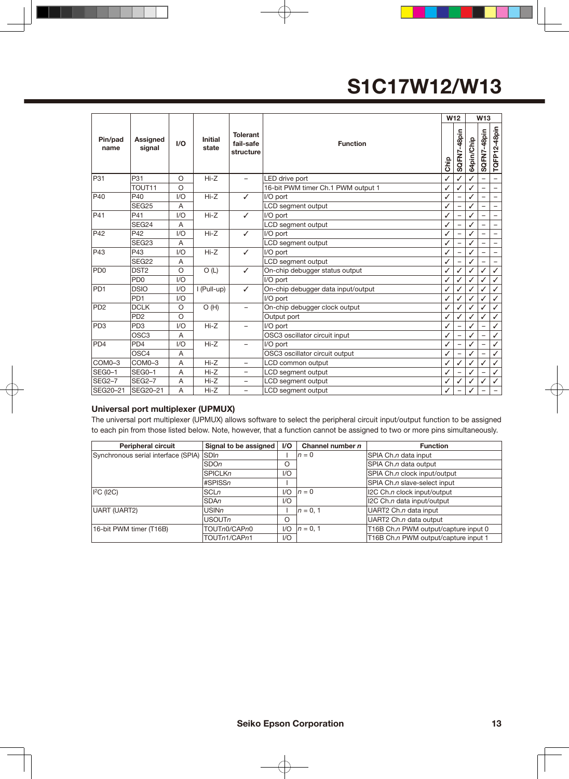|                 |                             |                |                         |                                           |                                     |      | W <sub>12</sub> |            | W <sub>13</sub>          |                          |
|-----------------|-----------------------------|----------------|-------------------------|-------------------------------------------|-------------------------------------|------|-----------------|------------|--------------------------|--------------------------|
| Pin/pad<br>name | <b>Assigned</b><br>signal   | I/O            | <b>Initial</b><br>state | <b>Tolerant</b><br>fail-safe<br>structure | <b>Function</b>                     | Chip | SQFN7-48pin     | 64pin/Chip | SQFN7-48pin              | TQFP12-48pin             |
| P31             | P31                         | $\circ$        | $Hi-Z$                  | $\overline{\phantom{0}}$                  | LED drive port                      | ✓    | ✓               |            |                          | -                        |
|                 | TOUT <sub>11</sub>          | $\circ$        |                         |                                           | 16-bit PWM timer Ch.1 PWM output 1  | ✓    |                 |            |                          | -                        |
| P40             | P40                         | VQ             | $Hi-Z$                  | ✓                                         | I/O port                            |      |                 |            |                          |                          |
|                 | SEG <sub>25</sub>           | A              |                         |                                           | LCD segment output                  | ✓    | -               |            | $\overline{\phantom{0}}$ | $\overline{\phantom{0}}$ |
| P41             | P41                         | 1/O            | $Hi-Z$                  | ✓                                         | I/O port                            | ✓    |                 | ✓          |                          | -                        |
|                 | SEG24                       | A              |                         |                                           | LCD segment output                  | ✓    |                 |            |                          | $\overline{\phantom{0}}$ |
| P42             | P42                         | VQ             | $Hi-Z$                  | ✓                                         | I/O port                            | ✓    |                 | ✓          |                          | -                        |
|                 | SEG <sub>23</sub>           | A              |                         |                                           | LCD segment output                  |      |                 |            |                          |                          |
| P43             | P43                         | VQ             | $Hi-Z$                  | ✓                                         | I/O port                            | ✓    |                 |            |                          | $\overline{\phantom{0}}$ |
|                 | SEG22                       | A              |                         |                                           | LCD segment output                  | ✓    |                 | ✓          |                          |                          |
| PD <sub>0</sub> | DST <sub>2</sub>            | $\circ$        | O(L)                    | ✓                                         | On-chip debugger status output<br>✓ |      | ✓               |            | ✓                        | $\checkmark$             |
|                 | P <sub>D0</sub>             | 1/O            |                         |                                           | I/O port                            |      | ✓               |            | $\checkmark$             | $\checkmark$             |
| PD <sub>1</sub> | <b>DSIO</b>                 | 1/O            | I (Pull-up)             | ✓                                         | On-chip debugger data input/output  |      |                 |            |                          | $\checkmark$             |
|                 | PD <sub>1</sub>             | 1/O            |                         |                                           | I/O port                            | ✓    |                 |            | ✓                        | $\checkmark$             |
| PD <sub>2</sub> | <b>DCLK</b>                 | $\circ$        | O(H)                    | $\overline{\phantom{0}}$                  | On-chip debugger clock output       |      |                 |            | ✓                        | $\checkmark$             |
|                 | P <sub>D</sub> <sub>2</sub> | $\circ$        |                         |                                           | Output port                         |      | ✓               | ℐ          | ✓                        | $\checkmark$             |
| PD <sub>3</sub> | PD <sub>3</sub>             | 1/O            | $Hi-Z$                  | $\overline{\phantom{0}}$                  | I/O port                            |      |                 |            | $\overline{\phantom{0}}$ | $\checkmark$             |
|                 | OSC <sub>3</sub>            | A              |                         |                                           | OSC3 oscillator circuit input       |      |                 |            |                          | $\checkmark$             |
| PD <sub>4</sub> | PD <sub>4</sub>             | 1/O            | $Hi-Z$                  | $\overline{\phantom{0}}$                  | I/O port                            | ✓    |                 |            |                          | $\checkmark$             |
|                 | OSC <sub>4</sub>            | $\overline{A}$ |                         |                                           | OSC3 oscillator circuit output      |      |                 |            |                          | $\checkmark$             |
| COM0-3          | COM0-3                      | A              | $Hi-Z$                  | $\overline{\phantom{0}}$                  | LCD common output                   |      |                 |            | ✓                        | $\checkmark$             |
| SEG0-1          | SEG0-1                      | A              | $Hi-Z$                  | $\overline{\phantom{0}}$                  | LCD segment output                  |      |                 |            |                          | $\checkmark$             |
| <b>SEG2-7</b>   | <b>SEG2-7</b>               | Α              | $Hi-Z$                  | $\qquad \qquad -$                         | LCD segment output                  |      |                 |            | ✓                        | $\checkmark$             |
| SEG20-21        | SEG20-21                    | A              | $Hi-Z$                  | $\equiv$                                  | LCD segment output                  |      |                 |            |                          |                          |

#### **Universal port multiplexer (UPMUX)**

The universal port multiplexer (UPMUX) allows software to select the peripheral circuit input/output function to be assigned to each pin from those listed below. Note, however, that a function cannot be assigned to two or more pins simultaneously.

| <b>Peripheral circuit</b>           | Signal to be assigned | $\mathsf{I}/\mathsf{O}$ | Channel number $n$ | <b>Function</b>                      |
|-------------------------------------|-----------------------|-------------------------|--------------------|--------------------------------------|
| Synchronous serial interface (SPIA) | SDIn                  |                         | $n=0$              | SPIA Ch.n data input                 |
|                                     | <b>SDOn</b>           | O                       |                    | SPIA Ch.n data output                |
|                                     | <b>SPICLKn</b>        | 1/O                     |                    | SPIA Ch.n clock input/output         |
|                                     | #SPISSn               |                         |                    | SPIA Ch.n slave-select input         |
| $ $ <sup>2</sup> C ( $ $ 2C)        | <b>SCLn</b>           | 1/O                     | $n=0$              | I2C Ch.n clock input/output          |
|                                     | <b>SDAn</b>           | 1/O                     |                    | I2C Ch.n data input/output           |
| UART (UART2)                        | <b>USINn</b>          |                         | $n = 0, 1$         | UART2 Ch.n data input                |
|                                     | USOUTn                | O                       |                    | UART2 Ch.n data output               |
| 16-bit PWM timer (T16B)             | TOUTn0/CAPn0          | 1/O                     | $n = 0.1$          | T16B Ch.n PWM output/capture input 0 |
|                                     | TOUTn1/CAPn1          | 1/O                     |                    | T16B Ch.n PWM output/capture input 1 |